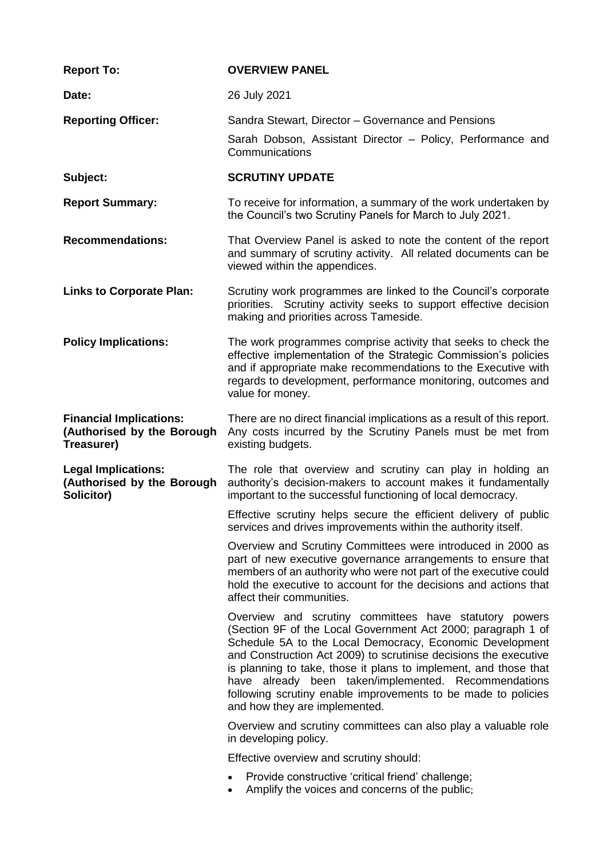| <b>Report To:</b>                                                          | <b>OVERVIEW PANEL</b>                                                                                                                                                                                                                                                                                                                                                                                                                                                                |  |  |
|----------------------------------------------------------------------------|--------------------------------------------------------------------------------------------------------------------------------------------------------------------------------------------------------------------------------------------------------------------------------------------------------------------------------------------------------------------------------------------------------------------------------------------------------------------------------------|--|--|
| Date:                                                                      | 26 July 2021                                                                                                                                                                                                                                                                                                                                                                                                                                                                         |  |  |
| <b>Reporting Officer:</b>                                                  | Sandra Stewart, Director - Governance and Pensions                                                                                                                                                                                                                                                                                                                                                                                                                                   |  |  |
|                                                                            | Sarah Dobson, Assistant Director - Policy, Performance and<br>Communications                                                                                                                                                                                                                                                                                                                                                                                                         |  |  |
| Subject:                                                                   | <b>SCRUTINY UPDATE</b>                                                                                                                                                                                                                                                                                                                                                                                                                                                               |  |  |
| <b>Report Summary:</b>                                                     | To receive for information, a summary of the work undertaken by<br>the Council's two Scrutiny Panels for March to July 2021.                                                                                                                                                                                                                                                                                                                                                         |  |  |
| <b>Recommendations:</b>                                                    | That Overview Panel is asked to note the content of the report<br>and summary of scrutiny activity. All related documents can be<br>viewed within the appendices.                                                                                                                                                                                                                                                                                                                    |  |  |
| <b>Links to Corporate Plan:</b>                                            | Scrutiny work programmes are linked to the Council's corporate<br>priorities. Scrutiny activity seeks to support effective decision<br>making and priorities across Tameside.                                                                                                                                                                                                                                                                                                        |  |  |
| <b>Policy Implications:</b>                                                | The work programmes comprise activity that seeks to check the<br>effective implementation of the Strategic Commission's policies<br>and if appropriate make recommendations to the Executive with<br>regards to development, performance monitoring, outcomes and<br>value for money.                                                                                                                                                                                                |  |  |
| <b>Financial Implications:</b><br>(Authorised by the Borough<br>Treasurer) | There are no direct financial implications as a result of this report.<br>Any costs incurred by the Scrutiny Panels must be met from<br>existing budgets.                                                                                                                                                                                                                                                                                                                            |  |  |
| <b>Legal Implications:</b><br>(Authorised by the Borough<br>Solicitor)     | The role that overview and scrutiny can play in holding an<br>authority's decision-makers to account makes it fundamentally<br>important to the successful functioning of local democracy.                                                                                                                                                                                                                                                                                           |  |  |
|                                                                            | Effective scrutiny helps secure the efficient delivery of public<br>services and drives improvements within the authority itself.                                                                                                                                                                                                                                                                                                                                                    |  |  |
|                                                                            | Overview and Scrutiny Committees were introduced in 2000 as<br>part of new executive governance arrangements to ensure that<br>members of an authority who were not part of the executive could<br>hold the executive to account for the decisions and actions that<br>affect their communities.                                                                                                                                                                                     |  |  |
|                                                                            | Overview and scrutiny committees have statutory powers<br>(Section 9F of the Local Government Act 2000; paragraph 1 of<br>Schedule 5A to the Local Democracy, Economic Development<br>and Construction Act 2009) to scrutinise decisions the executive<br>is planning to take, those it plans to implement, and those that<br>have already been taken/implemented. Recommendations<br>following scrutiny enable improvements to be made to policies<br>and how they are implemented. |  |  |
|                                                                            | Overview and scrutiny committees can also play a valuable role<br>in developing policy.                                                                                                                                                                                                                                                                                                                                                                                              |  |  |
|                                                                            | Effective overview and scrutiny should:                                                                                                                                                                                                                                                                                                                                                                                                                                              |  |  |
|                                                                            | Provide constructive 'critical friend' challenge;<br>$\bullet$<br>Amplify the voices and concerns of the public;                                                                                                                                                                                                                                                                                                                                                                     |  |  |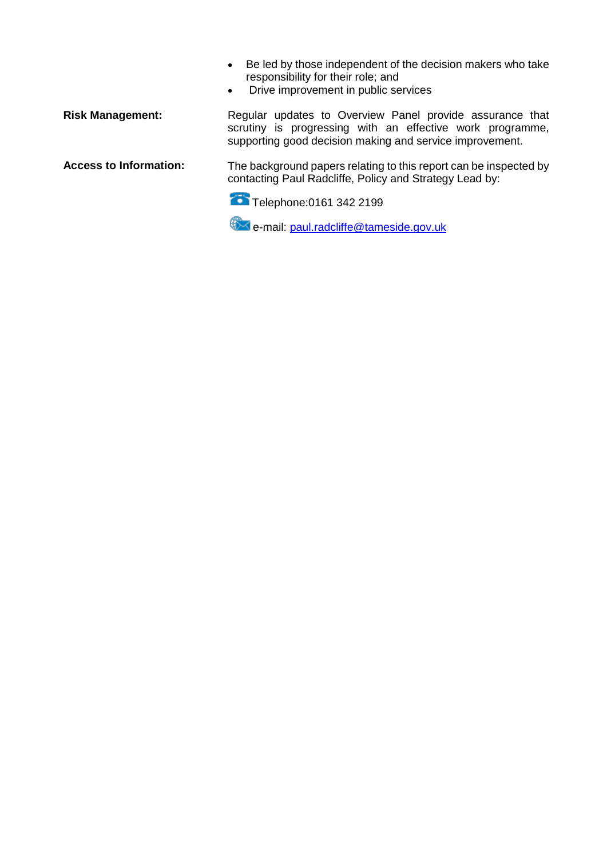- Be led by those independent of the decision makers who take responsibility for their role; and
- Drive improvement in public services

Risk Management: Regular updates to Overview Panel provide assurance that scrutiny is progressing with an effective work programme, supporting good decision making and service improvement.

**Access to Information:** The background papers relating to this report can be inspected by contacting Paul Radcliffe, Policy and Strategy Lead by:

Telephone: 0161 342 2199

e-mail: [paul.radcliffe@tameside.gov.uk](mailto:paul.radcliffe@tameside.gov.uk)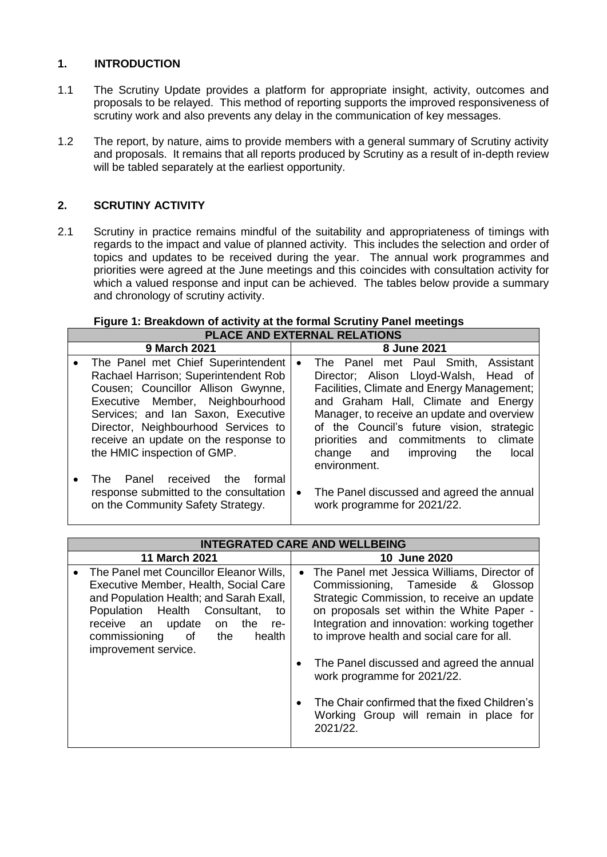# **1. INTRODUCTION**

- 1.1 The Scrutiny Update provides a platform for appropriate insight, activity, outcomes and proposals to be relayed. This method of reporting supports the improved responsiveness of scrutiny work and also prevents any delay in the communication of key messages.
- 1.2 The report, by nature, aims to provide members with a general summary of Scrutiny activity and proposals. It remains that all reports produced by Scrutiny as a result of in-depth review will be tabled separately at the earliest opportunity.

# **2. SCRUTINY ACTIVITY**

2.1 Scrutiny in practice remains mindful of the suitability and appropriateness of timings with regards to the impact and value of planned activity. This includes the selection and order of topics and updates to be received during the year. The annual work programmes and priorities were agreed at the June meetings and this coincides with consultation activity for which a valued response and input can be achieved. The tables below provide a summary and chronology of scrutiny activity.

#### **Figure 1: Breakdown of activity at the formal Scrutiny Panel meetings PLACE AND EXTERNAL RELATIONS**

| 9 March 2021 |                                                                                                                                                                                                                                                                                                         |           | 8 June 2021                                                                                                                                                                                                                                                                                                                                                   |  |  |
|--------------|---------------------------------------------------------------------------------------------------------------------------------------------------------------------------------------------------------------------------------------------------------------------------------------------------------|-----------|---------------------------------------------------------------------------------------------------------------------------------------------------------------------------------------------------------------------------------------------------------------------------------------------------------------------------------------------------------------|--|--|
| $\bullet$    | The Panel met Chief Superintendent<br>Rachael Harrison; Superintendent Rob<br>Cousen; Councillor Allison Gwynne,<br>Executive Member, Neighbourhood<br>Services; and Ian Saxon, Executive<br>Director, Neighbourhood Services to<br>receive an update on the response to<br>the HMIC inspection of GMP. | $\bullet$ | The Panel met Paul Smith, Assistant<br>Director; Alison Lloyd-Walsh, Head of<br>Facilities, Climate and Energy Management;<br>and Graham Hall, Climate and Energy<br>Manager, to receive an update and overview<br>of the Council's future vision, strategic<br>priorities and commitments to climate<br>change and improving<br>the<br>local<br>environment. |  |  |
|              | received<br>Panel<br>the<br>formal<br>The<br>response submitted to the consultation<br>on the Community Safety Strategy.                                                                                                                                                                                | $\bullet$ | The Panel discussed and agreed the annual<br>work programme for 2021/22.                                                                                                                                                                                                                                                                                      |  |  |

| <b>INTEGRATED CARE AND WELLBEING</b>                                                                                                                                                                                                                                     |  |  |  |
|--------------------------------------------------------------------------------------------------------------------------------------------------------------------------------------------------------------------------------------------------------------------------|--|--|--|
|                                                                                                                                                                                                                                                                          |  |  |  |
| 11 March 2021                                                                                                                                                                                                                                                            |  |  |  |
| The Panel met Councillor Eleanor Wills,<br>Executive Member, Health, Social Care<br>and Population Health; and Sarah Exall,<br>Population Health Consultant,<br>to<br>the<br>receive an<br>update<br>on<br>re-<br>commissioning of the<br>health<br>improvement service. |  |  |  |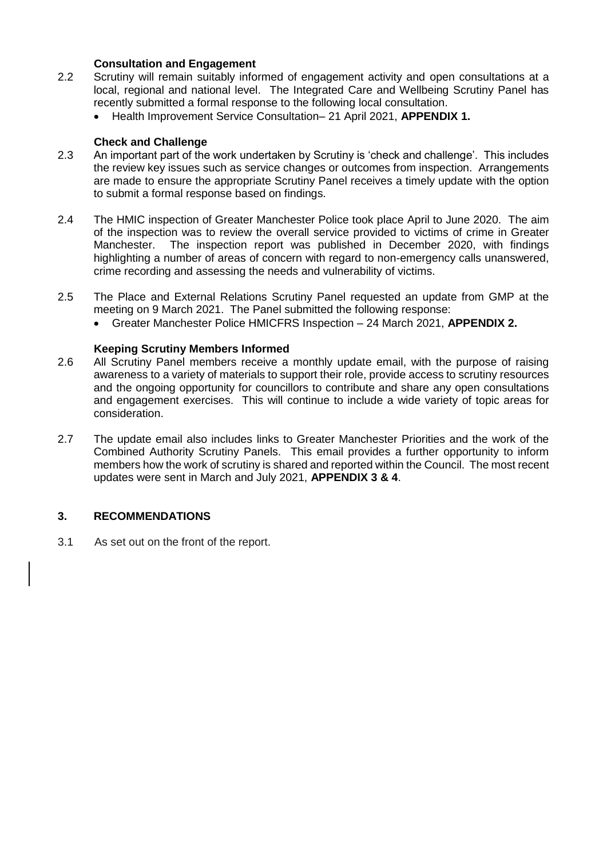#### **Consultation and Engagement**

- 2.2 Scrutiny will remain suitably informed of engagement activity and open consultations at a local, regional and national level. The Integrated Care and Wellbeing Scrutiny Panel has recently submitted a formal response to the following local consultation.
	- Health Improvement Service Consultation– 21 April 2021, **APPENDIX 1.**

#### **Check and Challenge**

- 2.3 An important part of the work undertaken by Scrutiny is 'check and challenge'. This includes the review key issues such as service changes or outcomes from inspection. Arrangements are made to ensure the appropriate Scrutiny Panel receives a timely update with the option to submit a formal response based on findings.
- 2.4 The HMIC inspection of Greater Manchester Police took place April to June 2020. The aim of the inspection was to review the overall service provided to victims of crime in Greater Manchester. The inspection report was published in December 2020, with findings highlighting a number of areas of concern with regard to non-emergency calls unanswered, crime recording and assessing the needs and vulnerability of victims.
- 2.5 The Place and External Relations Scrutiny Panel requested an update from GMP at the meeting on 9 March 2021. The Panel submitted the following response:
	- Greater Manchester Police HMICFRS Inspection 24 March 2021, **APPENDIX 2.**

#### **Keeping Scrutiny Members Informed**

- 2.6 All Scrutiny Panel members receive a monthly update email, with the purpose of raising awareness to a variety of materials to support their role, provide access to scrutiny resources and the ongoing opportunity for councillors to contribute and share any open consultations and engagement exercises. This will continue to include a wide variety of topic areas for consideration.
- 2.7 The update email also includes links to Greater Manchester Priorities and the work of the Combined Authority Scrutiny Panels. This email provides a further opportunity to inform members how the work of scrutiny is shared and reported within the Council. The most recent updates were sent in March and July 2021, **APPENDIX 3 & 4**.

## **3. RECOMMENDATIONS**

3.1 As set out on the front of the report.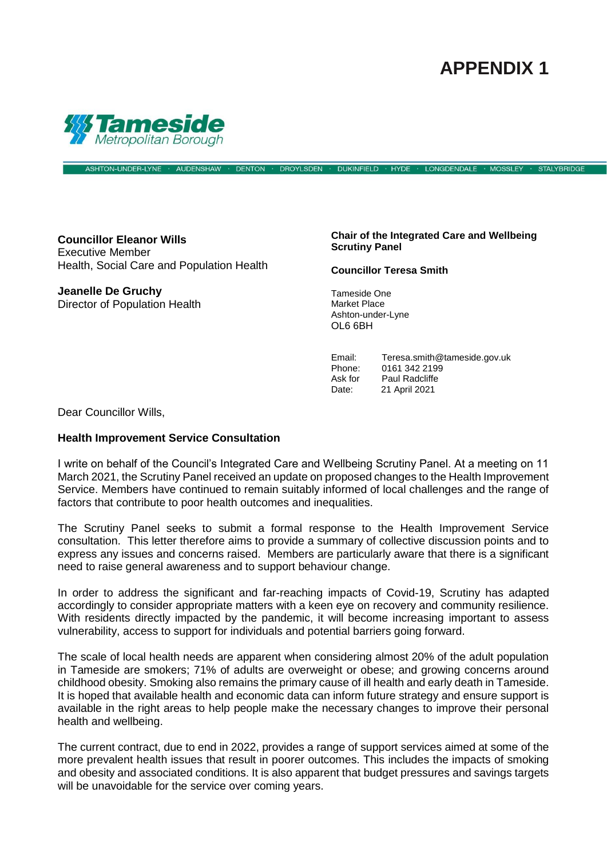# **APPENDIX 1**

**STALYBRIDGE** 



**Councillor Eleanor Wills** Executive Member Health, Social Care and Population Health

**Jeanelle De Gruchy** Director of Population Health **Chair of the Integrated Care and Wellbeing Scrutiny Panel**

**Councillor Teresa Smith**

Tameside One Market Place Ashton-under-Lyne OL6 6BH

Email: Teresa.smith@tameside.gov.uk<br>Phone: 0161 342 2199 0161 342 2199 Ask for Paul Radcliffe Date: 21 April 2021

Dear Councillor Wills,

#### **Health Improvement Service Consultation**

I write on behalf of the Council's Integrated Care and Wellbeing Scrutiny Panel. At a meeting on 11 March 2021, the Scrutiny Panel received an update on proposed changes to the Health Improvement Service. Members have continued to remain suitably informed of local challenges and the range of factors that contribute to poor health outcomes and inequalities.

ASHTON-UNDER-LYNE · AUDENSHAW · DENTON · DROYLSDEN · DUKINFIELD · HYDE · LONGDENDALE · MOSSLEY

The Scrutiny Panel seeks to submit a formal response to the Health Improvement Service consultation. This letter therefore aims to provide a summary of collective discussion points and to express any issues and concerns raised. Members are particularly aware that there is a significant need to raise general awareness and to support behaviour change.

In order to address the significant and far-reaching impacts of Covid-19, Scrutiny has adapted accordingly to consider appropriate matters with a keen eye on recovery and community resilience. With residents directly impacted by the pandemic, it will become increasing important to assess vulnerability, access to support for individuals and potential barriers going forward.

The scale of local health needs are apparent when considering almost 20% of the adult population in Tameside are smokers; 71% of adults are overweight or obese; and growing concerns around childhood obesity. Smoking also remains the primary cause of ill health and early death in Tameside. It is hoped that available health and economic data can inform future strategy and ensure support is available in the right areas to help people make the necessary changes to improve their personal health and wellbeing.

The current contract, due to end in 2022, provides a range of support services aimed at some of the more prevalent health issues that result in poorer outcomes. This includes the impacts of smoking and obesity and associated conditions. It is also apparent that budget pressures and savings targets will be unavoidable for the service over coming years.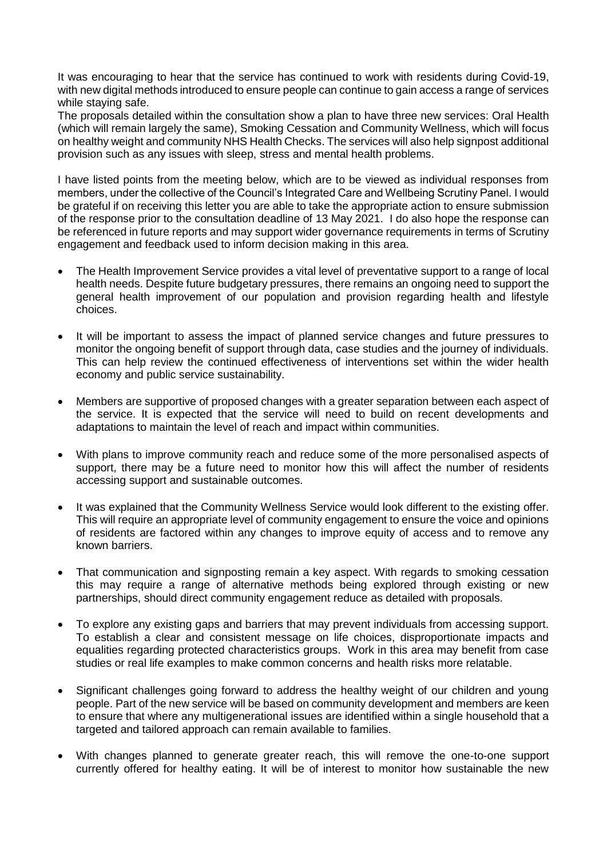It was encouraging to hear that the service has continued to work with residents during Covid-19, with new digital methods introduced to ensure people can continue to gain access a range of services while staying safe.

The proposals detailed within the consultation show a plan to have three new services: Oral Health (which will remain largely the same), Smoking Cessation and Community Wellness, which will focus on healthy weight and community NHS Health Checks. The services will also help signpost additional provision such as any issues with sleep, stress and mental health problems.

I have listed points from the meeting below, which are to be viewed as individual responses from members, under the collective of the Council's Integrated Care and Wellbeing Scrutiny Panel. I would be grateful if on receiving this letter you are able to take the appropriate action to ensure submission of the response prior to the consultation deadline of 13 May 2021. I do also hope the response can be referenced in future reports and may support wider governance requirements in terms of Scrutiny engagement and feedback used to inform decision making in this area.

- The Health Improvement Service provides a vital level of preventative support to a range of local health needs. Despite future budgetary pressures, there remains an ongoing need to support the general health improvement of our population and provision regarding health and lifestyle choices.
- It will be important to assess the impact of planned service changes and future pressures to monitor the ongoing benefit of support through data, case studies and the journey of individuals. This can help review the continued effectiveness of interventions set within the wider health economy and public service sustainability.
- Members are supportive of proposed changes with a greater separation between each aspect of the service. It is expected that the service will need to build on recent developments and adaptations to maintain the level of reach and impact within communities.
- With plans to improve community reach and reduce some of the more personalised aspects of support, there may be a future need to monitor how this will affect the number of residents accessing support and sustainable outcomes.
- It was explained that the Community Wellness Service would look different to the existing offer. This will require an appropriate level of community engagement to ensure the voice and opinions of residents are factored within any changes to improve equity of access and to remove any known barriers.
- That communication and signposting remain a key aspect. With regards to smoking cessation this may require a range of alternative methods being explored through existing or new partnerships, should direct community engagement reduce as detailed with proposals.
- To explore any existing gaps and barriers that may prevent individuals from accessing support. To establish a clear and consistent message on life choices, disproportionate impacts and equalities regarding protected characteristics groups. Work in this area may benefit from case studies or real life examples to make common concerns and health risks more relatable.
- Significant challenges going forward to address the healthy weight of our children and young people. Part of the new service will be based on community development and members are keen to ensure that where any multigenerational issues are identified within a single household that a targeted and tailored approach can remain available to families.
- With changes planned to generate greater reach, this will remove the one-to-one support currently offered for healthy eating. It will be of interest to monitor how sustainable the new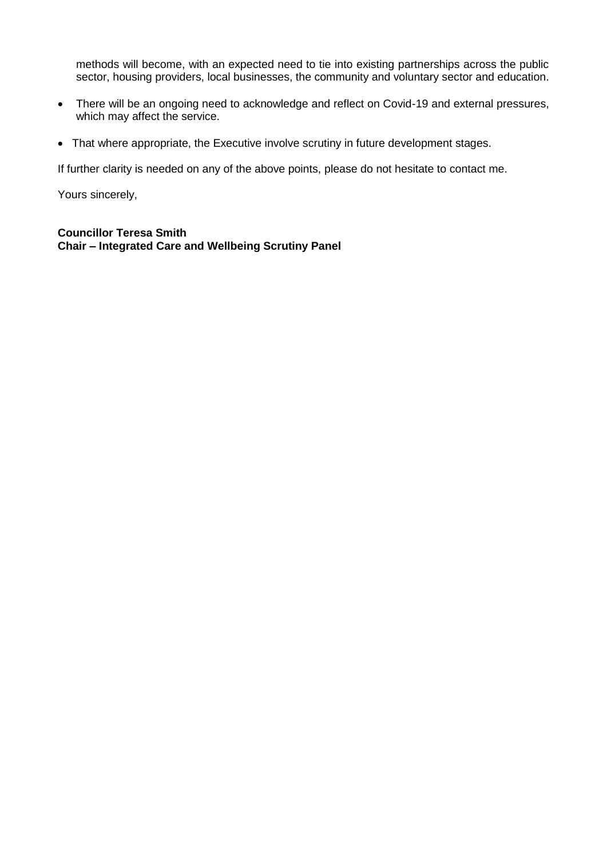methods will become, with an expected need to tie into existing partnerships across the public sector, housing providers, local businesses, the community and voluntary sector and education.

- There will be an ongoing need to acknowledge and reflect on Covid-19 and external pressures, which may affect the service.
- That where appropriate, the Executive involve scrutiny in future development stages.

If further clarity is needed on any of the above points, please do not hesitate to contact me.

Yours sincerely,

**Councillor Teresa Smith Chair – Integrated Care and Wellbeing Scrutiny Panel**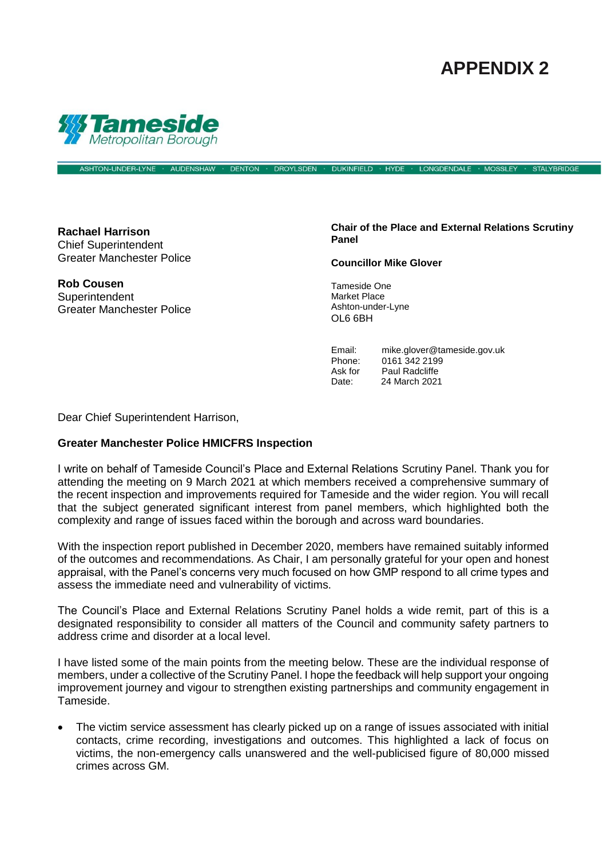# **APPENDIX 2**

**STALYBRIDGE** 



**AUDENSHAW** 

**DENTON DROYLSDEN** DUKINFIELD · HYDE **LONGDENDALE MOSSLEY** 

**Rachael Harrison** Chief Superintendent Greater Manchester Police

ASHTON-UNDER-LYNE

**Rob Cousen Superintendent** Greater Manchester Police **Chair of the Place and External Relations Scrutiny Panel**

**Councillor Mike Glover**

Tameside One Market Place Ashton-under-Lyne OL6 6BH

Email: mike.glover@tameside.gov.uk<br>Phone: 0161 342 2199 0161 342 2199 Ask for Paul Radcliffe Date: 24 March 2021

Dear Chief Superintendent Harrison,

#### **Greater Manchester Police HMICFRS Inspection**

I write on behalf of Tameside Council's Place and External Relations Scrutiny Panel. Thank you for attending the meeting on 9 March 2021 at which members received a comprehensive summary of the recent inspection and improvements required for Tameside and the wider region. You will recall that the subject generated significant interest from panel members, which highlighted both the complexity and range of issues faced within the borough and across ward boundaries.

With the inspection report published in December 2020, members have remained suitably informed of the outcomes and recommendations. As Chair, I am personally grateful for your open and honest appraisal, with the Panel's concerns very much focused on how GMP respond to all crime types and assess the immediate need and vulnerability of victims.

The Council's Place and External Relations Scrutiny Panel holds a wide remit, part of this is a designated responsibility to consider all matters of the Council and community safety partners to address crime and disorder at a local level.

I have listed some of the main points from the meeting below. These are the individual response of members, under a collective of the Scrutiny Panel. I hope the feedback will help support your ongoing improvement journey and vigour to strengthen existing partnerships and community engagement in Tameside.

• The victim service assessment has clearly picked up on a range of issues associated with initial contacts, crime recording, investigations and outcomes. This highlighted a lack of focus on victims, the non-emergency calls unanswered and the well-publicised figure of 80,000 missed crimes across GM.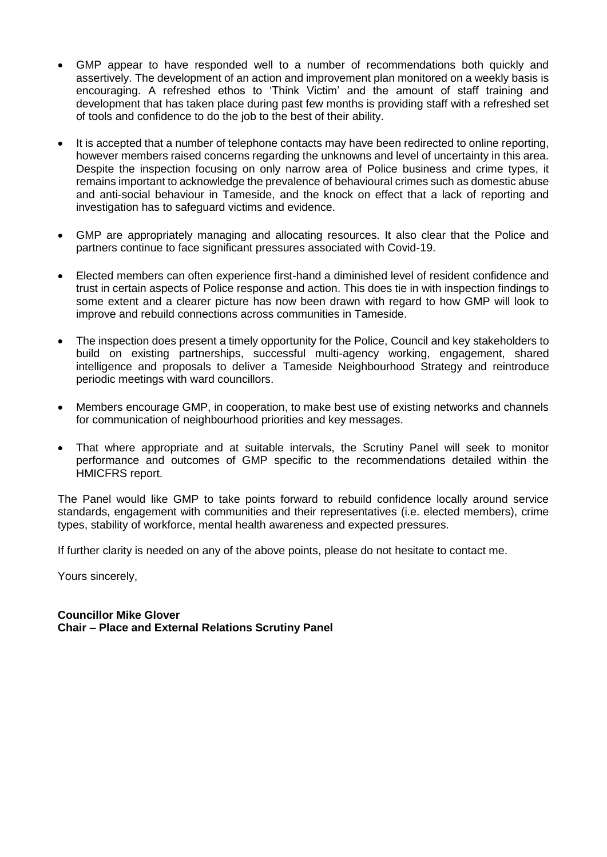- GMP appear to have responded well to a number of recommendations both quickly and assertively. The development of an action and improvement plan monitored on a weekly basis is encouraging. A refreshed ethos to 'Think Victim' and the amount of staff training and development that has taken place during past few months is providing staff with a refreshed set of tools and confidence to do the job to the best of their ability.
- It is accepted that a number of telephone contacts may have been redirected to online reporting, however members raised concerns regarding the unknowns and level of uncertainty in this area. Despite the inspection focusing on only narrow area of Police business and crime types, it remains important to acknowledge the prevalence of behavioural crimes such as domestic abuse and anti-social behaviour in Tameside, and the knock on effect that a lack of reporting and investigation has to safeguard victims and evidence.
- GMP are appropriately managing and allocating resources. It also clear that the Police and partners continue to face significant pressures associated with Covid-19.
- Elected members can often experience first-hand a diminished level of resident confidence and trust in certain aspects of Police response and action. This does tie in with inspection findings to some extent and a clearer picture has now been drawn with regard to how GMP will look to improve and rebuild connections across communities in Tameside.
- The inspection does present a timely opportunity for the Police, Council and key stakeholders to build on existing partnerships, successful multi-agency working, engagement, shared intelligence and proposals to deliver a Tameside Neighbourhood Strategy and reintroduce periodic meetings with ward councillors.
- Members encourage GMP, in cooperation, to make best use of existing networks and channels for communication of neighbourhood priorities and key messages.
- That where appropriate and at suitable intervals, the Scrutiny Panel will seek to monitor performance and outcomes of GMP specific to the recommendations detailed within the HMICFRS report.

The Panel would like GMP to take points forward to rebuild confidence locally around service standards, engagement with communities and their representatives (i.e. elected members), crime types, stability of workforce, mental health awareness and expected pressures.

If further clarity is needed on any of the above points, please do not hesitate to contact me.

Yours sincerely,

## **Councillor Mike Glover Chair – Place and External Relations Scrutiny Panel**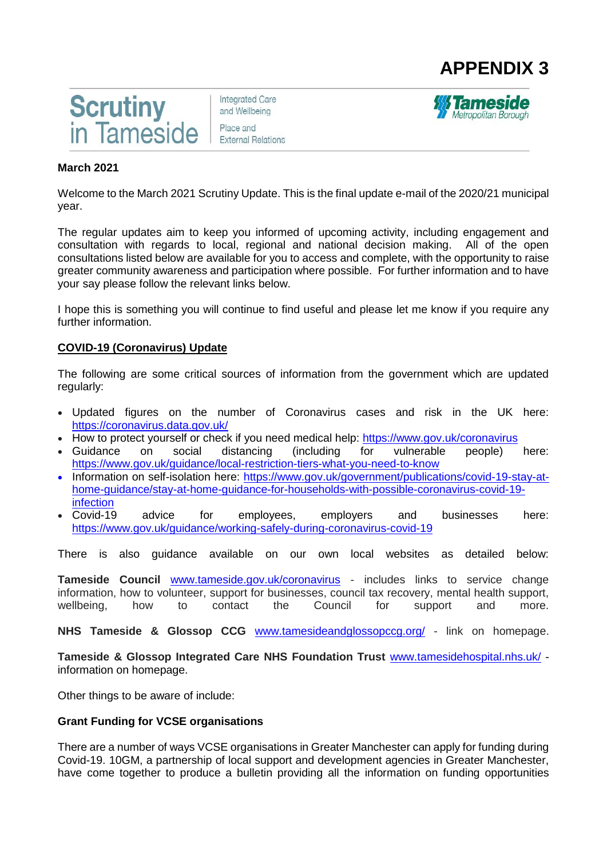



**Integrated Care** and Wellbeing Place and **External Relations** 



#### **March 2021**

Welcome to the March 2021 Scrutiny Update. This is the final update e-mail of the 2020/21 municipal year.

The regular updates aim to keep you informed of upcoming activity, including engagement and consultation with regards to local, regional and national decision making. All of the open consultations listed below are available for you to access and complete, with the opportunity to raise greater community awareness and participation where possible. For further information and to have your say please follow the relevant links below.

I hope this is something you will continue to find useful and please let me know if you require any further information.

#### **COVID-19 (Coronavirus) Update**

The following are some critical sources of information from the government which are updated regularly:

- Updated figures on the number of Coronavirus cases and risk in the UK here: [https://coronavirus.data.gov.uk/](https://tameside.us19.list-manage.com/track/click?u=4d61a93ada7c4058321148494&id=be4d31319b&e=9c08f6f301)
- How to protect yourself or check if you need medical help: [https://www.gov.uk/coronavirus](https://tameside.us19.list-manage.com/track/click?u=4d61a93ada7c4058321148494&id=c7ab60e6c0&e=9c08f6f301)<br>• Guidance on social distancing (including for vulnerable people)
- Guidance on social distancing (including for vulnerable people) here: [https://www.gov.uk/guidance/local-restriction-tiers-what-you-need-to-know](https://tameside.us19.list-manage.com/track/click?u=4d61a93ada7c4058321148494&id=e1e8eb81d4&e=9c08f6f301)
- Information on self-isolation here: [https://www.gov.uk/government/publications/covid-19-stay-at](https://tameside.us19.list-manage.com/track/click?u=4d61a93ada7c4058321148494&id=c4c9bef5e0&e=9c08f6f301)[home-guidance/stay-at-home-guidance-for-households-with-possible-coronavirus-covid-19](https://tameside.us19.list-manage.com/track/click?u=4d61a93ada7c4058321148494&id=c4c9bef5e0&e=9c08f6f301) [infection](https://tameside.us19.list-manage.com/track/click?u=4d61a93ada7c4058321148494&id=c4c9bef5e0&e=9c08f6f301)
- Covid-19 advice for employees, employers and businesses here: [https://www.gov.uk/guidance/working-safely-during-coronavirus-covid-19](https://tameside.us19.list-manage.com/track/click?u=4d61a93ada7c4058321148494&id=3de50ac436&e=9c08f6f301)

There is also guidance available on our own local websites as detailed below:

**Tameside Council** [www.tameside.gov.uk/coronavirus](https://tameside.us19.list-manage.com/track/click?u=4d61a93ada7c4058321148494&id=da9cfab885&e=9c08f6f301) - includes links to service change information, how to volunteer, support for businesses, council tax recovery, mental health support, wellbeing, how to contact the Council for support and more.

**NHS Tameside & Glossop CCG** [www.tamesideandglossopccg.org/](https://tameside.us19.list-manage.com/track/click?u=4d61a93ada7c4058321148494&id=9856f048fd&e=9c08f6f301) - link on homepage.

**Tameside & Glossop Integrated Care NHS Foundation Trust** [www.tamesidehospital.nhs.uk/](https://tameside.us19.list-manage.com/track/click?u=4d61a93ada7c4058321148494&id=e8f25d8575&e=9c08f6f301) information on homepage.

Other things to be aware of include:

#### **Grant Funding for VCSE organisations**

There are a number of ways VCSE organisations in Greater Manchester can apply for funding during Covid-19. 10GM, a partnership of local support and development agencies in Greater Manchester, have come together to produce a bulletin providing all the information on funding opportunities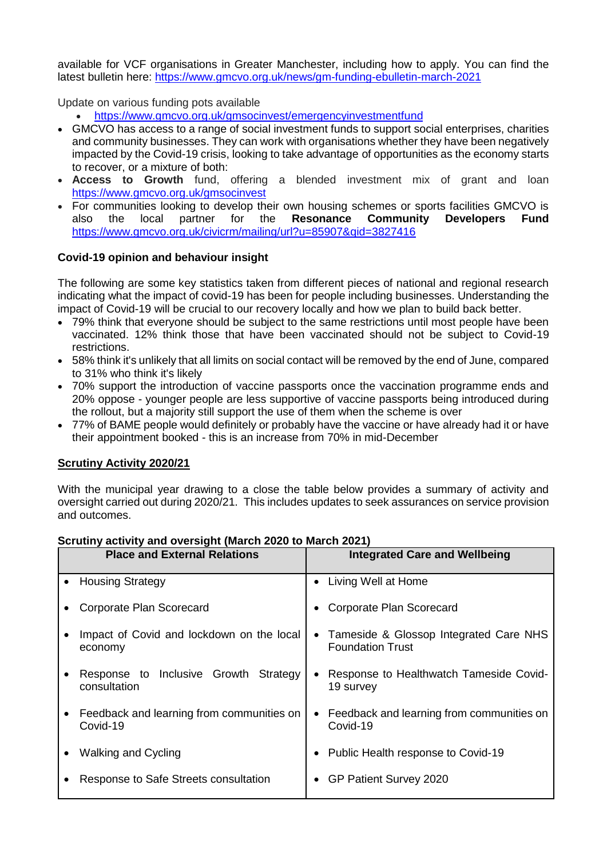available for VCF organisations in Greater Manchester, including how to apply. You can find the latest bulletin here: [https://www.gmcvo.org.uk/news/gm-funding-ebulletin-march-2021](https://tameside.us19.list-manage.com/track/click?u=4d61a93ada7c4058321148494&id=d991fbd513&e=9c08f6f301)

Update on various funding pots available

- <https://www.gmcvo.org.uk/gmsocinvest/emergencyinvestmentfund>
- GMCVO has access to a range of social investment funds to support social enterprises, charities and community businesses. They can work with organisations whether they have been negatively impacted by the Covid-19 crisis, looking to take advantage of opportunities as the economy starts to recover, or a mixture of both:
- **Access to Growth** fund, offering a blended investment mix of grant and loan [https://www.gmcvo.org.uk/gmsocinvest](https://tameside.us19.list-manage.com/track/click?u=4d61a93ada7c4058321148494&id=ae252f7f7d&e=9c08f6f301)
- For communities looking to develop their own housing schemes or sports facilities GMCVO is also the local partner for the **Resonance Community Developers Fund** [https://www.gmcvo.org.uk/civicrm/mailing/url?u=85907&qid=3827416](https://tameside.us19.list-manage.com/track/click?u=4d61a93ada7c4058321148494&id=7247d73610&e=9c08f6f301)

## **Covid-19 opinion and behaviour insight**

The following are some key statistics taken from different pieces of national and regional research indicating what the impact of covid-19 has been for people including businesses. Understanding the impact of Covid-19 will be crucial to our recovery locally and how we plan to build back better.

- 79% think that everyone should be subject to the same restrictions until most people have been vaccinated. 12% think those that have been vaccinated should not be subject to Covid-19 restrictions.
- 58% think it's unlikely that all limits on social contact will be removed by the end of June, compared to 31% who think it's likely
- 70% support the introduction of vaccine passports once the vaccination programme ends and 20% oppose - younger people are less supportive of vaccine passports being introduced during the rollout, but a majority still support the use of them when the scheme is over
- 77% of BAME people would definitely or probably have the vaccine or have already had it or have their appointment booked - this is an increase from 70% in mid-December

## **Scrutiny Activity 2020/21**

With the municipal year drawing to a close the table below provides a summary of activity and oversight carried out during 2020/21. This includes updates to seek assurances on service provision and outcomes.

#### **Scrutiny activity and oversight (March 2020 to March 2021)**

| <b>Place and External Relations</b> |                                                       | <b>Integrated Care and Wellbeing</b> |                                                                     |
|-------------------------------------|-------------------------------------------------------|--------------------------------------|---------------------------------------------------------------------|
| $\bullet$                           | <b>Housing Strategy</b>                               | $\bullet$                            | Living Well at Home                                                 |
|                                     | Corporate Plan Scorecard                              |                                      | Corporate Plan Scorecard                                            |
|                                     | Impact of Covid and lockdown on the local<br>economy  |                                      | • Tameside & Glossop Integrated Care NHS<br><b>Foundation Trust</b> |
|                                     | Response to Inclusive Growth Strategy<br>consultation |                                      | Response to Healthwatch Tameside Covid-<br>19 survey                |
|                                     | Feedback and learning from communities on<br>Covid-19 |                                      | Feedback and learning from communities on<br>Covid-19               |
|                                     | <b>Walking and Cycling</b>                            |                                      | Public Health response to Covid-19                                  |
|                                     | Response to Safe Streets consultation                 |                                      | GP Patient Survey 2020                                              |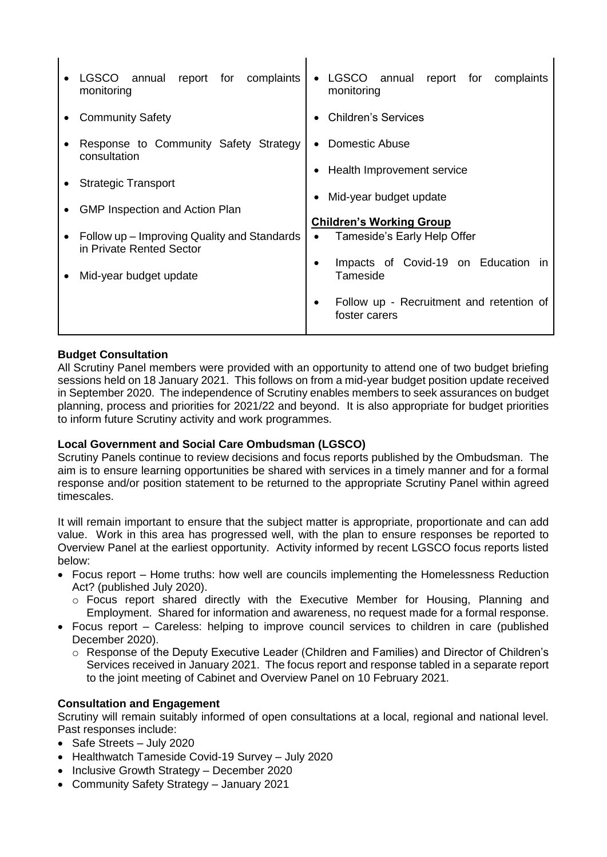| report<br>for complaints<br><b>LGSCO</b><br>annual<br>monitoring            | LGSCO annual<br>report for<br>complaints<br>monitoring                      |
|-----------------------------------------------------------------------------|-----------------------------------------------------------------------------|
| <b>Community Safety</b>                                                     | <b>Children's Services</b>                                                  |
| Response to Community Safety Strategy<br>consultation                       | Domestic Abuse                                                              |
| <b>Strategic Transport</b>                                                  | Health Improvement service                                                  |
| <b>GMP Inspection and Action Plan</b>                                       | Mid-year budget update                                                      |
| • Follow up $-$ Improving Quality and Standards<br>in Private Rented Sector | <b>Children's Working Group</b><br>Tameside's Early Help Offer<br>$\bullet$ |
| Mid-year budget update                                                      | Impacts of Covid-19 on Education in<br>Tameside                             |
|                                                                             | Follow up - Recruitment and retention of<br>foster carers                   |

 $\mathbf{I}$ 

 $\mathbf{I}$ 

## **Budget Consultation**

All Scrutiny Panel members were provided with an opportunity to attend one of two budget briefing sessions held on 18 January 2021. This follows on from a mid-year budget position update received in September 2020. The independence of Scrutiny enables members to seek assurances on budget planning, process and priorities for 2021/22 and beyond. It is also appropriate for budget priorities to inform future Scrutiny activity and work programmes.

## **Local Government and Social Care Ombudsman (LGSCO)**

Scrutiny Panels continue to review decisions and focus reports published by the Ombudsman. The aim is to ensure learning opportunities be shared with services in a timely manner and for a formal response and/or position statement to be returned to the appropriate Scrutiny Panel within agreed timescales.

It will remain important to ensure that the subject matter is appropriate, proportionate and can add value. Work in this area has progressed well, with the plan to ensure responses be reported to Overview Panel at the earliest opportunity. Activity informed by recent LGSCO focus reports listed below:

- Focus report Home truths: how well are councils implementing the Homelessness Reduction Act? (published July 2020).
	- o Focus report shared directly with the Executive Member for Housing, Planning and Employment. Shared for information and awareness, no request made for a formal response.
- Focus report Careless: helping to improve council services to children in care (published December 2020).
	- o Response of the Deputy Executive Leader (Children and Families) and Director of Children's Services received in January 2021. The focus report and response tabled in a separate report to the joint meeting of Cabinet and Overview Panel on 10 February 2021.

## **Consultation and Engagement**

Scrutiny will remain suitably informed of open consultations at a local, regional and national level. Past responses include:

- Safe Streets July 2020
- Healthwatch Tameside Covid-19 Survey July 2020
- Inclusive Growth Strategy December 2020
- Community Safety Strategy January 2021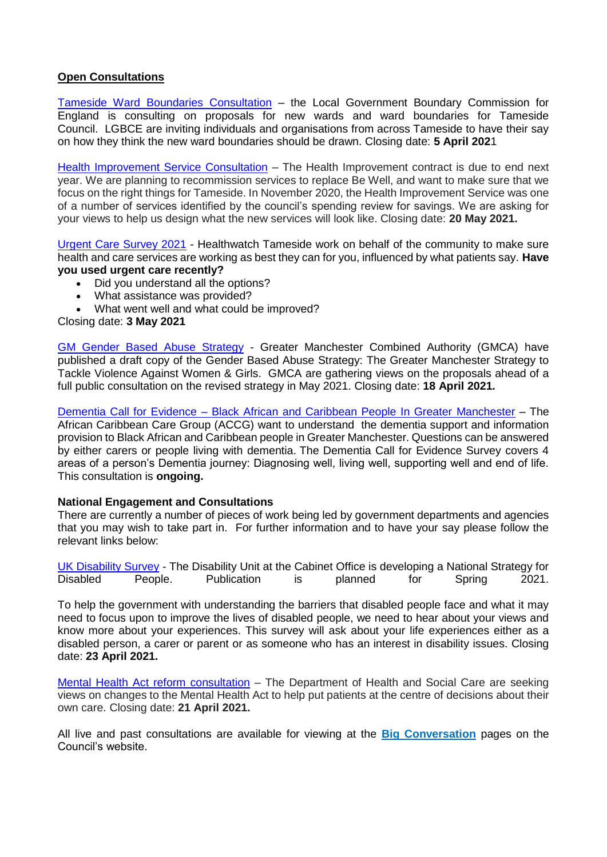## **Open Consultations**

[Tameside Ward Boundaries Consultation](https://tameside.us19.list-manage.com/track/click?u=4d61a93ada7c4058321148494&id=d3c3512c08&e=9c08f6f301) – the Local Government Boundary Commission for England is consulting on proposals for new wards and ward boundaries for Tameside Council. LGBCE are inviting individuals and organisations from across Tameside to have their say on how they think the new ward boundaries should be drawn. Closing date: **5 April 202**1

[Health Improvement Service Consultation](https://tameside.us19.list-manage.com/track/click?u=4d61a93ada7c4058321148494&id=708da628c3&e=9c08f6f301) – The Health Improvement contract is due to end next year. We are planning to recommission services to replace Be Well, and want to make sure that we focus on the right things for Tameside. In November 2020, the Health Improvement Service was one of a number of services identified by the council's spending review for savings. We are asking for your views to help us design what the new services will look like. Closing date: **20 May 2021.**

Urgent [Care Survey 2021](https://www.surveymonkey.co.uk/r/HWTurgentcare) - Healthwatch Tameside work on behalf of the community to make sure health and care services are working as best they can for you, influenced by what patients say. **Have you used urgent care recently?**

- Did you understand all the options?
- What assistance was provided?
- What went well and what could be improved?

Closing date: **3 May 2021**

[GM Gender Based Abuse Strategy](https://greatermanchester-ca.gov.uk/what-we-do/police-and-fire/gender-based-abuse-strategy/) - Greater Manchester Combined Authority (GMCA) have published a draft copy of the Gender Based Abuse Strategy: The Greater Manchester Strategy to Tackle Violence Against Women & Girls. GMCA are gathering views on the proposals ahead of a full public consultation on the revised strategy in May 2021. Closing date: **18 April 2021.**

Dementia Call for Evidence – [Black African and Caribbean People In Greater Manchester](https://tameside.us19.list-manage.com/track/click?u=4d61a93ada7c4058321148494&id=2cc47405e2&e=9c08f6f301) – The African Caribbean Care Group (ACCG) want to understand the dementia support and information provision to Black African and Caribbean people in Greater Manchester. Questions can be answered by either carers or people living with dementia. The Dementia Call for Evidence Survey covers 4 areas of a person's Dementia journey: Diagnosing well, living well, supporting well and end of life. This consultation is **ongoing.**

## **National Engagement and Consultations**

There are currently a number of pieces of work being led by government departments and agencies that you may wish to take part in. For further information and to have your say please follow the relevant links below:

[UK Disability Survey](https://disabilityunit.citizenspace.com/cabinet-office/ukdisabilitysurvey/) - The Disability Unit at the Cabinet Office is developing a National Strategy for Disabled People. Publication is planned for Spring 2021.

To help the government with understanding the barriers that disabled people face and what it may need to focus upon to improve the lives of disabled people, we need to hear about your views and know more about your experiences. This survey will ask about your life experiences either as a disabled person, a carer or parent or as someone who has an interest in disability issues. Closing date: **23 April 2021.**

[Mental Health Act reform consultation](https://tameside.us19.list-manage.com/track/click?u=4d61a93ada7c4058321148494&id=641a20018b&e=9c08f6f301) – The Department of Health and Social Care are seeking views on changes to the Mental Health Act to help put patients at the centre of decisions about their own care. Closing date: **21 April 2021.**

All live and past consultations are available for viewing at the **[Big Conversation](https://www.tameside.gov.uk/tbc)** pages on the Council's website.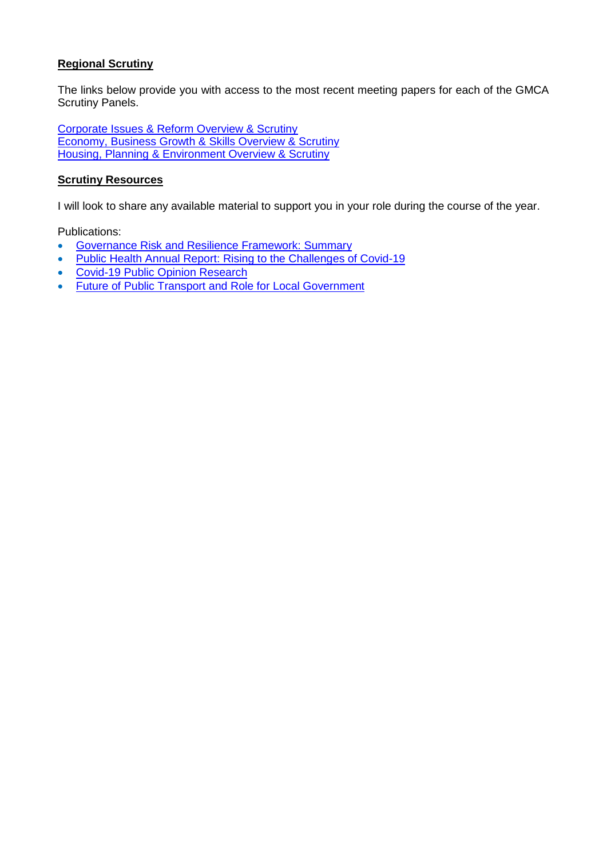## **Regional Scrutiny**

The links below provide you with access to the most recent meeting papers for each of the GMCA Scrutiny Panels.

[Corporate Issues & Reform Overview & Scrutiny](https://democracy.greatermanchester-ca.gov.uk/ieListMeetings.aspx?CommitteeId=216) [Economy, Business Growth & Skills Overview & Scrutiny](https://democracy.greatermanchester-ca.gov.uk/ieListMeetings.aspx?CommitteeId=148) Housing, [Planning & Environment Overview & Scrutiny](https://democracy.greatermanchester-ca.gov.uk/ieListMeetings.aspx?CommitteeId=247)

#### **Scrutiny Resources**

I will look to share any available material to support you in your role during the course of the year.

Publications:

- [Governance Risk and Resilience Framework: Summary](https://www.cfgs.org.uk/?publication=governance-risk-and-resilience-framework-summary)
- [Public Health Annual Report: Rising to the Challenges of Covid-19](https://www.local.gov.uk/public-health-annual-report-2021-rising-challenges-covid-19)
- [Covid-19 Public Opinion Research](https://www.local.gov.uk/covid-19-public-opinion-research-britainthinks)
- [Future of Public Transport and Role for Local Government](https://www.local.gov.uk/systra-lga-bus-report)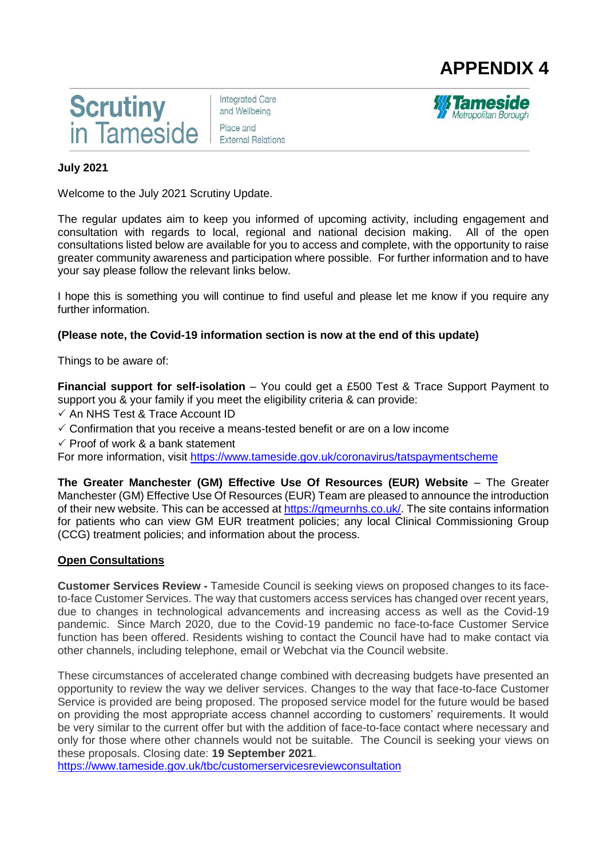



**Integrated Care** and Wellbeing Place and **External Relations** 



## **July 2021**

Welcome to the July 2021 Scrutiny Update.

The regular updates aim to keep you informed of upcoming activity, including engagement and consultation with regards to local, regional and national decision making. All of the open consultations listed below are available for you to access and complete, with the opportunity to raise greater community awareness and participation where possible. For further information and to have your say please follow the relevant links below.

I hope this is something you will continue to find useful and please let me know if you require any further information.

## **(Please note, the Covid-19 information section is now at the end of this update)**

Things to be aware of:

**Financial support for self-isolation** – You could get a £500 Test & Trace Support Payment to support you & your family if you meet the eligibility criteria & can provide:

- $\checkmark$  An NHS Test & Trace Account ID
- $\checkmark$  Confirmation that you receive a means-tested benefit or are on a low income
- $\checkmark$  Proof of work & a bank statement

For more information, visit<https://www.tameside.gov.uk/coronavirus/tatspaymentscheme>

**The Greater Manchester (GM) Effective Use Of Resources (EUR) Website** – The Greater Manchester (GM) Effective Use Of Resources (EUR) Team are pleased to announce the introduction of their new website. This can be accessed at [https://gmeurnhs.co.uk/.](https://gmeurnhs.co.uk/) The site contains information for patients who can view GM EUR treatment policies; any local Clinical Commissioning Group (CCG) treatment policies; and information about the process.

## **Open Consultations**

**Customer Services Review -** Tameside Council is seeking views on proposed changes to its faceto-face Customer Services. The way that customers access services has changed over recent years, due to changes in technological advancements and increasing access as well as the Covid-19 pandemic. Since March 2020, due to the Covid-19 pandemic no face-to-face Customer Service function has been offered. Residents wishing to contact the Council have had to make contact via other channels, including telephone, email or Webchat via the Council website.

These circumstances of accelerated change combined with decreasing budgets have presented an opportunity to review the way we deliver services. Changes to the way that face-to-face Customer Service is provided are being proposed. The proposed service model for the future would be based on providing the most appropriate access channel according to customers' requirements. It would be very similar to the current offer but with the addition of face-to-face contact where necessary and only for those where other channels would not be suitable. The Council is seeking your views on these proposals. Closing date: **19 September 2021**.

<https://www.tameside.gov.uk/tbc/customerservicesreviewconsultation>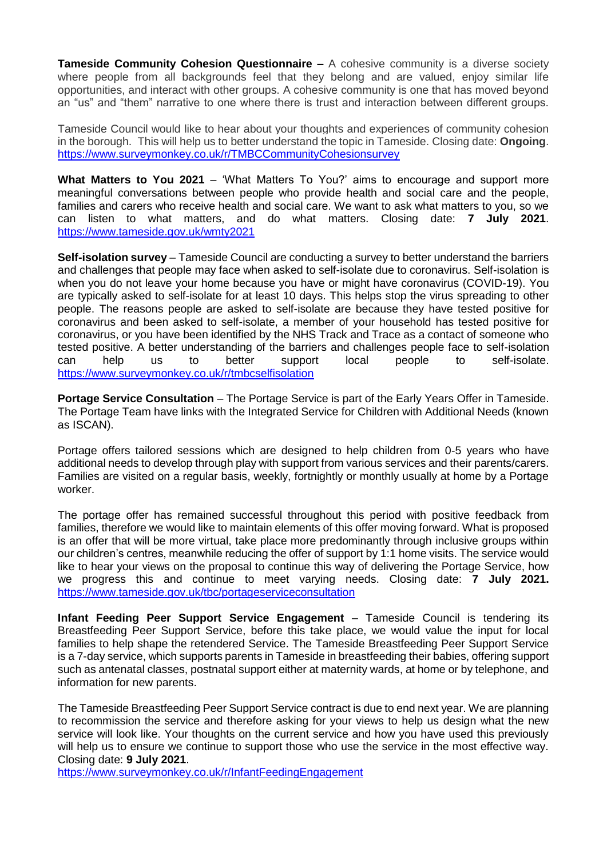**Tameside Community Cohesion Questionnaire –** A cohesive community is a diverse society where people from all backgrounds feel that they belong and are valued, enjoy similar life opportunities, and interact with other groups. A cohesive community is one that has moved beyond an "us" and "them" narrative to one where there is trust and interaction between different groups.

Tameside Council would like to hear about your thoughts and experiences of community cohesion in the borough. This will help us to better understand the topic in Tameside. Closing date: **Ongoing**. <https://www.surveymonkey.co.uk/r/TMBCCommunityCohesionsurvey>

**What Matters to You 2021** – 'What Matters To You?' aims to encourage and support more meaningful conversations between people who provide health and social care and the people, families and carers who receive health and social care. We want to ask what matters to you, so we can listen to what matters, and do what matters. Closing date: **7 July 2021**. <https://www.tameside.gov.uk/wmty2021>

**Self-isolation survey** – Tameside Council are conducting a survey to better understand the barriers and challenges that people may face when asked to self-isolate due to coronavirus. Self-isolation is when you do not leave your home because you have or might have coronavirus (COVID-19). You are typically asked to self-isolate for at least 10 days. This helps stop the virus spreading to other people. The reasons people are asked to self-isolate are because they have tested positive for coronavirus and been asked to self-isolate, a member of your household has tested positive for coronavirus, or you have been identified by the NHS Track and Trace as a contact of someone who tested positive. A better understanding of the barriers and challenges people face to self-isolation can help us to better support local people to self-isolate. <https://www.surveymonkey.co.uk/r/tmbcselfisolation>

**Portage Service Consultation** – The Portage Service is part of the Early Years Offer in Tameside. The Portage Team have links with the Integrated Service for Children with Additional Needs (known as ISCAN).

Portage offers tailored sessions which are designed to help children from 0-5 years who have additional needs to develop through play with support from various services and their parents/carers. Families are visited on a regular basis, weekly, fortnightly or monthly usually at home by a Portage worker.

The portage offer has remained successful throughout this period with positive feedback from families, therefore we would like to maintain elements of this offer moving forward. What is proposed is an offer that will be more virtual, take place more predominantly through inclusive groups within our children's centres, meanwhile reducing the offer of support by 1:1 home visits. The service would like to hear your views on the proposal to continue this way of delivering the Portage Service, how we progress this and continue to meet varying needs. Closing date: **7 July 2021.** <https://www.tameside.gov.uk/tbc/portageserviceconsultation>

**Infant Feeding Peer Support Service Engagement** – Tameside Council is tendering its Breastfeeding Peer Support Service, before this take place, we would value the input for local families to help shape the retendered Service. The Tameside Breastfeeding Peer Support Service is a 7-day service, which supports parents in Tameside in breastfeeding their babies, offering support such as antenatal classes, postnatal support either at maternity wards, at home or by telephone, and information for new parents.

The Tameside Breastfeeding Peer Support Service contract is due to end next year. We are planning to recommission the service and therefore asking for your views to help us design what the new service will look like. Your thoughts on the current service and how you have used this previously will help us to ensure we continue to support those who use the service in the most effective way. Closing date: **9 July 2021**.

<https://www.surveymonkey.co.uk/r/InfantFeedingEngagement>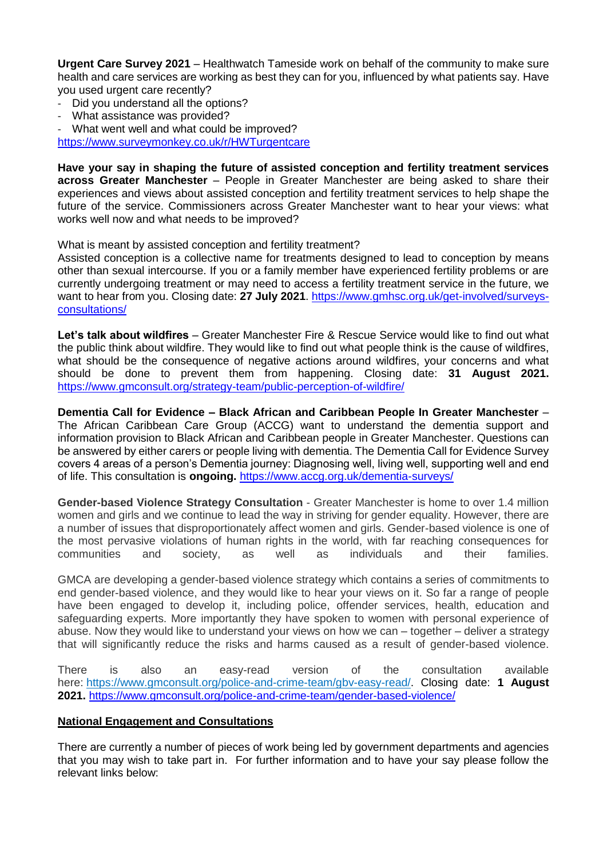**Urgent Care Survey 2021** – Healthwatch Tameside work on behalf of the community to make sure health and care services are working as best they can for you, influenced by what patients say. Have you used urgent care recently?

- Did you understand all the options?
- What assistance was provided?
- What went well and what could be improved?

<https://www.surveymonkey.co.uk/r/HWTurgentcare>

**Have your say in shaping the future of assisted conception and fertility treatment services across Greater Manchester** – People in Greater Manchester are being asked to share their experiences and views about assisted conception and fertility treatment services to help shape the future of the service. Commissioners across Greater Manchester want to hear your views: what works well now and what needs to be improved?

What is meant by assisted conception and fertility treatment?

Assisted conception is a collective name for treatments designed to lead to conception by means other than sexual intercourse. If you or a family member have experienced fertility problems or are currently undergoing treatment or may need to access a fertility treatment service in the future, we want to hear from you. Closing date: **27 July 2021**. [https://www.gmhsc.org.uk/get-involved/surveys](https://www.gmhsc.org.uk/get-involved/surveys-consultations/)[consultations/](https://www.gmhsc.org.uk/get-involved/surveys-consultations/)

**Let's talk about wildfires** – Greater Manchester Fire & Rescue Service would like to find out what the public think about wildfire. They would like to find out what people think is the cause of wildfires, what should be the consequence of negative actions around wildfires, your concerns and what should be done to prevent them from happening. Closing date: **31 August 2021.**  <https://www.gmconsult.org/strategy-team/public-perception-of-wildfire/>

**Dementia Call for Evidence – Black African and Caribbean People In Greater Manchester** – The African Caribbean Care Group (ACCG) want to understand the dementia support and information provision to Black African and Caribbean people in Greater Manchester. Questions can be answered by either carers or people living with dementia. The Dementia Call for Evidence Survey covers 4 areas of a person's Dementia journey: Diagnosing well, living well, supporting well and end of life. This consultation is **ongoing.** <https://www.accg.org.uk/dementia-surveys/>

**Gender-based Violence Strategy Consultation** - Greater Manchester is home to over 1.4 million women and girls and we continue to lead the way in striving for gender equality. However, there are a number of issues that disproportionately affect women and girls. Gender-based violence is one of the most pervasive violations of human rights in the world, with far reaching consequences for communities and society, as well as individuals and their families.

GMCA are developing a gender-based violence strategy which contains a series of commitments to end gender-based violence, and they would like to hear your views on it. So far a range of people have been engaged to develop it, including police, offender services, health, education and safeguarding experts. More importantly they have spoken to women with personal experience of abuse. Now they would like to understand your views on how we can – together – deliver a strategy that will significantly reduce the risks and harms caused as a result of gender-based violence.

There is also an easy-read version of the consultation available here: [https://www.gmconsult.org/police-and-crime-team/gbv-easy-read/.](https://www.gmconsult.org/police-and-crime-team/gbv-easy-read/) Closing date: **1 August 2021.** <https://www.gmconsult.org/police-and-crime-team/gender-based-violence/>

## **National Engagement and Consultations**

There are currently a number of pieces of work being led by government departments and agencies that you may wish to take part in. For further information and to have your say please follow the relevant links below: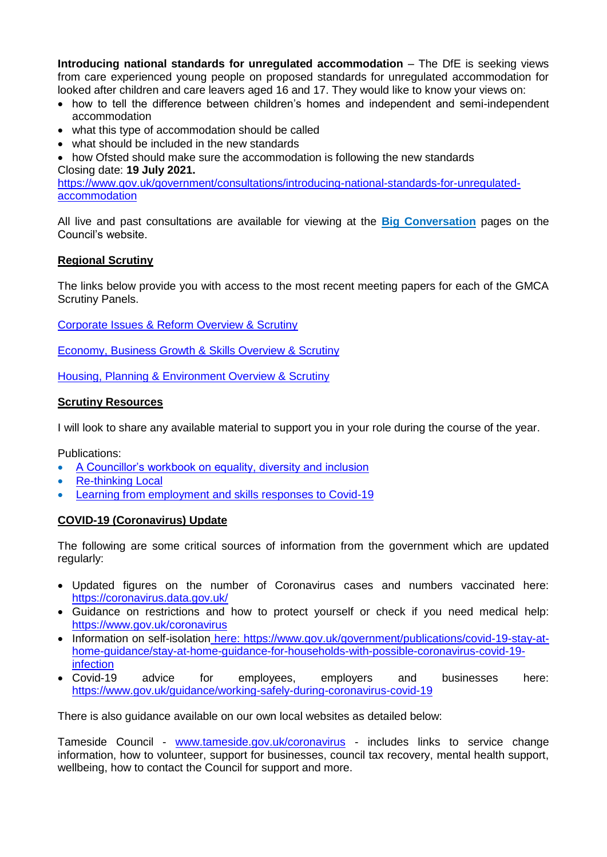**Introducing national standards for unregulated accommodation** – The DfE is seeking views from care experienced young people on proposed standards for unregulated accommodation for looked after children and care leavers aged 16 and 17. They would like to know your views on:

- how to tell the difference between children's homes and independent and semi-independent accommodation
- what this type of accommodation should be called
- what should be included in the new standards
- how Ofsted should make sure the accommodation is following the new standards

#### Closing date: **19 July 2021.**

[https://www.gov.uk/government/consultations/introducing-national-standards-for-unregulated](https://www.gov.uk/government/consultations/introducing-national-standards-for-unregulated-accommodation)[accommodation](https://www.gov.uk/government/consultations/introducing-national-standards-for-unregulated-accommodation)

All live and past consultations are available for viewing at the **[Big Conversation](https://www.tameside.gov.uk/tbc)** pages on the Council's website.

## **Regional Scrutiny**

The links below provide you with access to the most recent meeting papers for each of the GMCA Scrutiny Panels.

[Corporate Issues & Reform Overview & Scrutiny](https://democracy.greatermanchester-ca.gov.uk/ieListMeetings.aspx?CommitteeId=216)

[Economy, Business Growth & Skills Overview & Scrutiny](https://democracy.greatermanchester-ca.gov.uk/ieListMeetings.aspx?CommitteeId=148)

[Housing, Planning & Environment Overview & Scrutiny](https://democracy.greatermanchester-ca.gov.uk/ieListMeetings.aspx?CommitteeId=247)

## **Scrutiny Resources**

I will look to share any available material to support you in your role during the course of the year.

Publications:

- [A Councillor's workbook on equality, diversity and inclusion](https://www.local.gov.uk/publications/councillors-workbook-equality-diversity-and-inclusion)
- [Re-thinking Local](https://www.local.gov.uk/about/campaigns/re-thinking-local)
- [Learning from employment and skills responses to Covid-19](https://www.local.gov.uk/publications/learning-employment-and-skills-responses-covid-19)

## **COVID-19 (Coronavirus) Update**

The following are some critical sources of information from the government which are updated regularly:

- Updated figures on the number of Coronavirus cases and numbers vaccinated here: <https://coronavirus.data.gov.uk/>
- Guidance on restrictions and how to protect yourself or check if you need medical help: <https://www.gov.uk/coronavirus>
- Information on self-isolation here: [https://www.gov.uk/government/publications/covid-19-stay-at](https://www.gov.uk/government/publications/covid-19-stay-at-home-guidance/stay-at-home-guidance-for-households-with-possible-coronavirus-covid-19-infection)[home-guidance/stay-at-home-guidance-for-households-with-possible-coronavirus-covid-19](https://www.gov.uk/government/publications/covid-19-stay-at-home-guidance/stay-at-home-guidance-for-households-with-possible-coronavirus-covid-19-infection) [infection](https://www.gov.uk/government/publications/covid-19-stay-at-home-guidance/stay-at-home-guidance-for-households-with-possible-coronavirus-covid-19-infection)
- Covid-19 advice for employees, employers and businesses here: <https://www.gov.uk/guidance/working-safely-during-coronavirus-covid-19>

There is also guidance available on our own local websites as detailed below:

Tameside Council - [www.tameside.gov.uk/coronavirus](http://www.tameside.gov.uk/coronavirus) - includes links to service change information, how to volunteer, support for businesses, council tax recovery, mental health support, wellbeing, how to contact the Council for support and more.